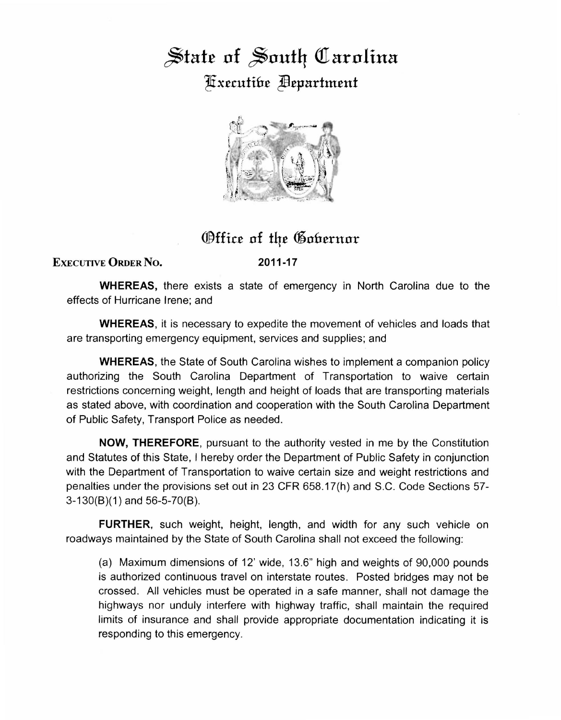## State of South Carolina ~xtrutih£ Jfltpartmtnt



## Office of the Gobernor

## EXECUTIVE ORDER NO.

2011-17

WHEREAS, there exists a state of emergency in North Carolina due to the effects of Hurricane Irene; and

WHEREAS, it is necessary to expedite the movement of vehicles and loads that are transporting emergency equipment, services and supplies; and

WHEREAS, the State of South Carolina wishes to implement a companion policy authorizing the South Carolina Department of Transportation to waive certain restrictions concerning weight, length and height of loads that are transporting materials as stated above, with coordination and cooperation with the South Carolina Department of Public Safety, Transport Police as needed.

NOW, THEREFORE, pursuant to the authority vested in me by the Constitution and Statutes of this State, I hereby order the Department of Public Safety in conjunction with the Department of Transportation to waive certain size and weight restrictions and penalties under the provisions set out in 23 CFR 658.17(h) and S.C. Code Sections 57- 3-130(8)(1) and 56-5-70(8).

FURTHER, such weight, height, length, and width for any such vehicle on roadways maintained by the State of South Carolina shall not exceed the following:

(a) Maximum dimensions of 12' wide, 13.6" high and weights of 90,000 pounds is authorized continuous travel on interstate routes. Posted bridges may not be crossed. All vehicles must be operated in a safe manner, shall not damage the highways nor unduly interfere with highway traffic, shall maintain the required limits of insurance and shall provide appropriate documentation indicating it is responding to this emergency.